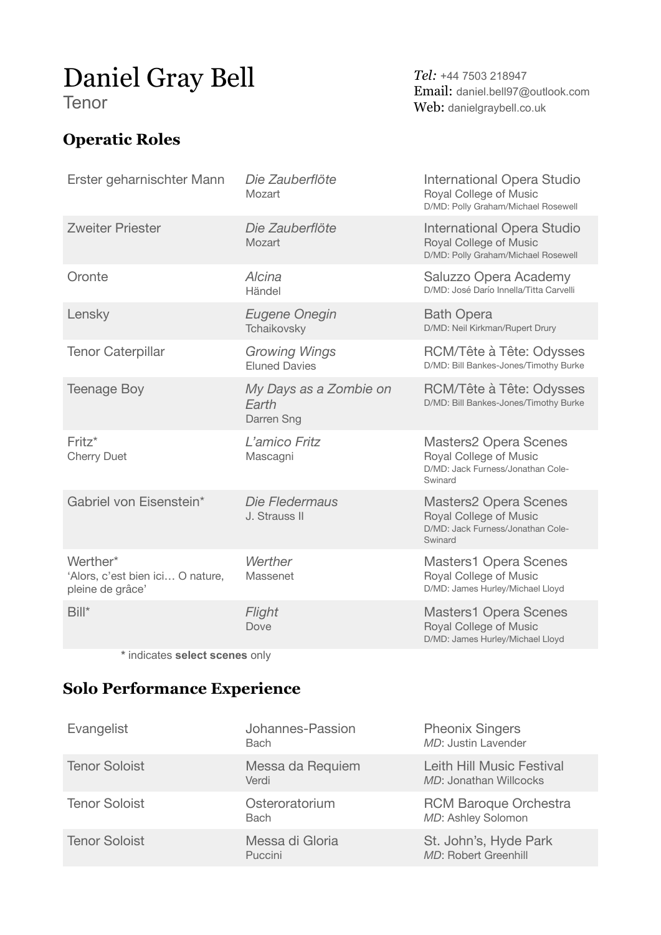# Daniel Gray Bell

Tenor

### **Operatic Roles**

*Tel:* +44 7503 218947 Email: daniel.bell97@outlook.com Web: danielgraybell.co.uk

| Erster geharnischter Mann                                        | Die Zauberflöte<br>Mozart                     | International Opera Studio<br>Royal College of Music<br>D/MD: Polly Graham/Michael Rosewell            |
|------------------------------------------------------------------|-----------------------------------------------|--------------------------------------------------------------------------------------------------------|
| <b>Zweiter Priester</b>                                          | Die Zauberflöte<br>Mozart                     | International Opera Studio<br>Royal College of Music<br>D/MD: Polly Graham/Michael Rosewell            |
| Oronte                                                           | Alcina<br>Händel                              | Saluzzo Opera Academy<br>D/MD: José Darío Innella/Titta Carvelli                                       |
| Lensky                                                           | <b>Eugene Onegin</b><br>Tchaikovsky           | <b>Bath Opera</b><br>D/MD: Neil Kirkman/Rupert Drury                                                   |
| <b>Tenor Caterpillar</b>                                         | <b>Growing Wings</b><br><b>Eluned Davies</b>  | RCM/Tête à Tête: Odysses<br>D/MD: Bill Bankes-Jones/Timothy Burke                                      |
| <b>Teenage Boy</b>                                               | My Days as a Zombie on<br>Earth<br>Darren Sng | RCM/Tête à Tête: Odysses<br>D/MD: Bill Bankes-Jones/Timothy Burke                                      |
| Fritz*<br><b>Cherry Duet</b>                                     | L'amico Fritz<br>Mascagni                     | <b>Masters2 Opera Scenes</b><br>Royal College of Music<br>D/MD: Jack Furness/Jonathan Cole-<br>Swinard |
| Gabriel von Eisenstein*                                          | Die Fledermaus<br>J. Strauss II               | <b>Masters2 Opera Scenes</b><br>Royal College of Music<br>D/MD: Jack Furness/Jonathan Cole-<br>Swinard |
| Werther*<br>'Alors, c'est bien ici O nature,<br>pleine de grâce' | Werther<br>Massenet                           | <b>Masters1 Opera Scenes</b><br>Royal College of Music<br>D/MD: James Hurley/Michael Lloyd             |
| Bill*                                                            | Flight<br>Dove                                | <b>Masters1 Opera Scenes</b><br>Royal College of Music<br>D/MD: James Hurley/Michael Lloyd             |

**\*** indicates **select scenes** only

#### **Solo Performance Experience**

| Evangelist           | Johannes-Passion<br><b>Bach</b> | <b>Pheonix Singers</b><br>MD: Justin Lavender       |
|----------------------|---------------------------------|-----------------------------------------------------|
| <b>Tenor Soloist</b> | Messa da Requiem<br>Verdi       | Leith Hill Music Festival<br>MD: Jonathan Willcocks |
| <b>Tenor Soloist</b> | Osteroratorium<br><b>Bach</b>   | <b>RCM Baroque Orchestra</b><br>MD: Ashley Solomon  |
| <b>Tenor Soloist</b> | Messa di Gloria<br>Puccini      | St. John's, Hyde Park<br>MD: Robert Greenhill       |